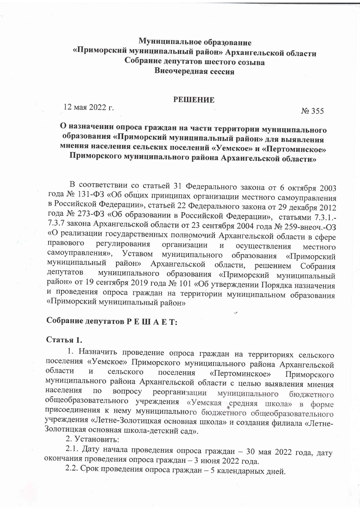## Муниципальное образование «Приморский муниципальный район» Архангельской области Собрание депутатов шестого созыва Внеочередная сессия

#### **РЕШЕНИЕ**

12 мая 2022 г.

No 355

# О назначении опроса граждан на части территории муниципального образования «Приморский муниципальный район» для выявления мнения населения сельских поселений «Уемское» и «Пертоминское» Приморского муниципального района Архангельской области»

В соответствии со статьей 31 Федерального закона от 6 октября 2003 года № 131-ФЗ «Об общих принципах организации местного самоуправления в Российской Федерации», статьей 22 Федерального закона от 29 декабря 2012 года № 273-ФЗ «Об образовании в Российской Федерации», статьями 7.3.1.-7.3.7 закона Архангельской области от 23 сентября 2004 года № 259-внеоч.-ОЗ «О реализации государственных полномочий Архангельской области в сфере правового регулирования организации  $\overline{M}$ осуществления местного самоуправления», Уставом муниципального образования «Приморский муниципальный район» Архангельской области, решением Собрания муниципального образования «Приморский муниципальный депутатов район» от 19 сентября 2019 года № 101 «Об утверждении Порядка назначения и проведения опроса граждан на территории муниципальном образования «Приморский муниципальный район»

# Собрание депутатов Р Е ШАЕТ:

Статья 1.

1. Назначить проведение опроса граждан на территориях сельского поселения «Уемское» Приморского муниципального района Архангельской области  $\overline{M}$ сельского поселения «Пертоминское» Приморского муниципального района Архангельской области с целью выявления мнения населения  $\Pi$ O вопросу реорганизации муниципального бюджетного общеобразовательного учреждения «Уемская средняя школа» в форме присоединения к нему муниципального бюджетного общеобразовательного учреждения «Летне-Золотицкая основная школа» и создания филиала «Летне-Золотицкая основная школа-детский сад».

2. Установить:

2.1. Дату начала проведения опроса граждан - 30 мая 2022 года, дату окончания проведения опроса граждан - 3 июня 2022 года.

2.2. Срок проведения опроса граждан - 5 календарных дней.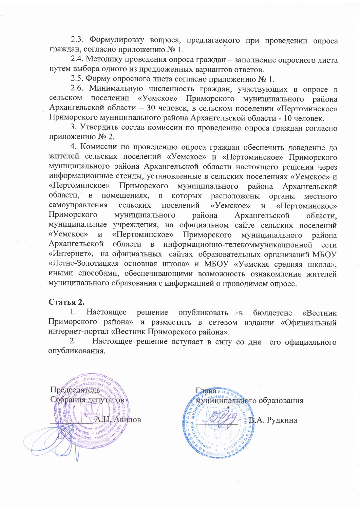2.3. Формулировку вопроса, предлагаемого при проведении опроса граждан, согласно приложению № 1.

2.4. Методику проведения опроса граждан - заполнение опросного листа путем выбора одного из предложенных вариантов ответов.

2.5. Форму опросного листа согласно приложению № 1.

2.6. Минимальную численность граждан, участвующих в опросе в сельском поселении «Уемское» Приморского муниципального района Архангельской области - 30 человек, в сельском поселении «Пертоминское» Приморского муниципального района Архангельской области - 10 человек.

3. Утвердить состав комиссии по проведению опроса граждан согласно приложению № 2.

4. Комиссии по проведению опроса граждан обеспечить доведение до жителей сельских поселений «Уемское» и «Пертоминское» Приморского муниципального района Архангельской области настоящего решения через информационные стенды, установленные в сельских поселениях «Уемское» и «Пертоминское» Приморского муниципального района Архангельской области.  $\overline{B}$ помещениях, которых расположены  $\mathbf{B}$ органы местного самоуправления поселений сельских «Уемское» «Пертоминское»  $\overline{\mathbf{M}}$ Приморского муниципального района Архангельской области. муниципальные учреждения, на официальном сайте сельских поселений «Уемское» «Пертоминское»  $\overline{M}$ Приморского муниципального района Архангельской области  $\mathbf{B}$ информационно-телекоммуникационной сети «Интернет», на официальных сайтах образовательных организаций МБОУ «Летне-Золотицкая основная школа» и МБОУ «Уемская средняя школа», иными способами, обеспечивающими возможность ознакомления жителей муниципального образования с информацией о проводимом опросе.

## Статья 2.

 $1<sub>1</sub>$ Настоящее опубликовать «в решение бюллетене «Вестник Приморского района» и разместить в сетевом издании «Официальный интернет-портал «Вестник Приморского района».

Настоящее решение вступает в силу со дня его официального  $2.$ опубликования.



**Глава**ип муниципального образования 3.А. Рудкина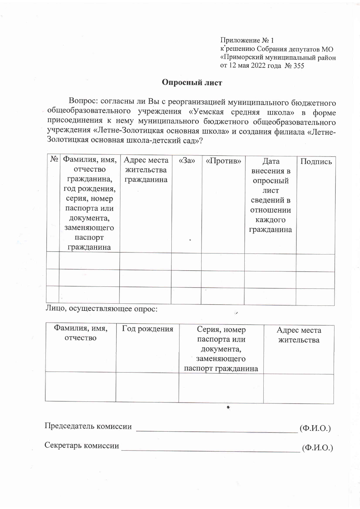Приложение № 1 к решению Собрания депутатов МО «Приморский муниципальный район от 12 мая 2022 года № 355

## Опросный лист

Вопрос: согласны ли Вы с реорганизацией муниципального бюджетного общеобразовательного учреждения «Уемская средняя школа» в форме присоединения к нему муниципального бюджетного общеобразовательного учреждения «Летне-Золотицкая основная школа» и создания филиала «Летне-Золотицкая основная школа-детский сад»?

| $N_2$ | Фамилия, имя, | Адрес места | $\langle \langle 3a \rangle \rangle$ | «Против» | Дата       | Подпись |
|-------|---------------|-------------|--------------------------------------|----------|------------|---------|
|       | отчество      | жительства  |                                      |          | внесения в |         |
|       | гражданина,   | гражданина  |                                      |          | опросный   |         |
|       | год рождения, |             |                                      |          | лист       |         |
|       | серия, номер  |             |                                      |          | сведений в |         |
|       | паспорта или  |             |                                      |          | отношении  |         |
|       | документа,    |             |                                      |          | каждого    |         |
|       | заменяющего   |             |                                      |          | гражданина |         |
|       | паспорт       |             |                                      |          |            |         |
|       | гражданина    |             |                                      |          |            |         |
|       |               |             |                                      |          |            |         |
|       |               |             |                                      |          |            |         |
|       |               |             |                                      |          |            |         |
|       |               |             |                                      |          |            |         |
|       |               |             |                                      |          |            |         |

Лицо, осуществляющее опрос:

Фамилия, имя, Год рождения Серия, номер Адрес места отчество паспорта или жительства документа, заменяющего паспорт гражданина

 $\bullet$ 

 $\ddot{\phantom{a}}$ 

Председатель комиссии  $(\Phi$ <sub>M</sub>.O.)

Секретарь комиссии

 $(\Phi$ <sub>M</sub>.O.)